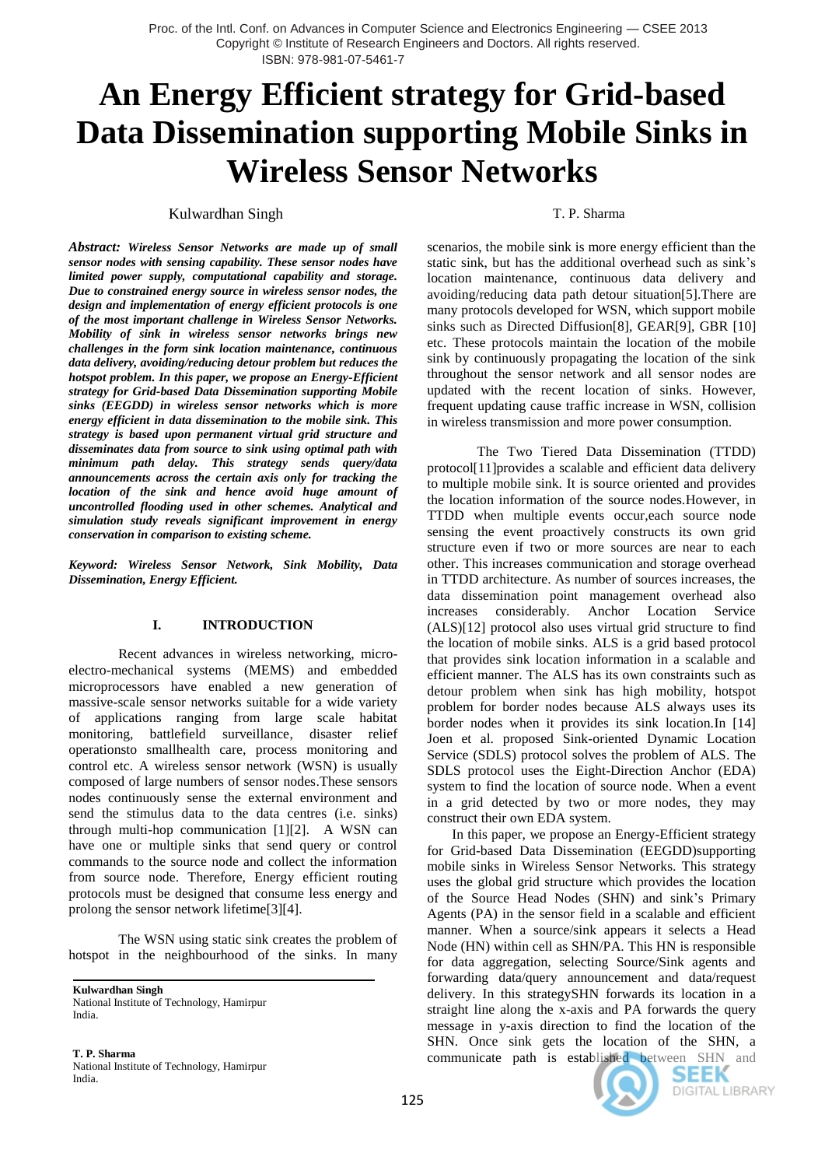# **An Energy Efficient strategy for Grid-based Data Dissemination supporting Mobile Sinks in Wireless Sensor Networks**

Kulwardhan Singh T. P. Sharma

*Abstract: Wireless Sensor Networks are made up of small sensor nodes with sensing capability. These sensor nodes have limited power supply, computational capability and storage. Due to constrained energy source in wireless sensor nodes, the design and implementation of energy efficient protocols is one of the most important challenge in Wireless Sensor Networks. Mobility of sink in wireless sensor networks brings new challenges in the form sink location maintenance, continuous data delivery, avoiding/reducing detour problem but reduces the hotspot problem. In this paper, we propose an Energy-Efficient strategy for Grid-based Data Dissemination supporting Mobile sinks (EEGDD) in wireless sensor networks which is more energy efficient in data dissemination to the mobile sink. This strategy is based upon permanent virtual grid structure and disseminates data from source to sink using optimal path with minimum path delay. This strategy sends query/data announcements across the certain axis only for tracking the location of the sink and hence avoid huge amount of uncontrolled flooding used in other schemes. Analytical and simulation study reveals significant improvement in energy conservation in comparison to existing scheme.*

*Keyword: Wireless Sensor Network, Sink Mobility, Data Dissemination, Energy Efficient.*

### **I. INTRODUCTION**

Recent advances in wireless networking, microelectro-mechanical systems (MEMS) and embedded microprocessors have enabled a new generation of massive-scale sensor networks suitable for a wide variety of applications ranging from large scale habitat monitoring, battlefield surveillance, disaster relief operationsto smallhealth care, process monitoring and control etc. A wireless sensor network (WSN) is usually composed of large numbers of sensor nodes.These sensors nodes continuously sense the external environment and send the stimulus data to the data centres (i.e. sinks) through multi-hop communication [1][2]. A WSN can have one or multiple sinks that send query or control commands to the source node and collect the information from source node. Therefore, Energy efficient routing protocols must be designed that consume less energy and prolong the sensor network lifetime[3][4].

The WSN using static sink creates the problem of hotspot in the neighbourhood of the sinks. In many

**Kulwardhan Singh** National Institute of Technology, Hamirpur India.

**T. P. Sharma** National Institute of Technology, Hamirpur India.

teekparval@gmail.com

scenarios, the mobile sink is more energy efficient than the static sink, but has the additional overhead such as sink's location maintenance, continuous data delivery and avoiding/reducing data path detour situation[5].There are many protocols developed for WSN, which support mobile sinks such as Directed Diffusion[8], GEAR[9], GBR [10] etc. These protocols maintain the location of the mobile sink by continuously propagating the location of the sink throughout the sensor network and all sensor nodes are updated with the recent location of sinks. However, frequent updating cause traffic increase in WSN, collision in wireless transmission and more power consumption.

The Two Tiered Data Dissemination (TTDD) protocol[11]provides a scalable and efficient data delivery to multiple mobile sink. It is source oriented and provides the location information of the source nodes.However, in TTDD when multiple events occur,each source node sensing the event proactively constructs its own grid structure even if two or more sources are near to each other. This increases communication and storage overhead in TTDD architecture. As number of sources increases, the data dissemination point management overhead also increases considerably. Anchor Location Service (ALS)[12] protocol also uses virtual grid structure to find the location of mobile sinks. ALS is a grid based protocol that provides sink location information in a scalable and efficient manner. The ALS has its own constraints such as detour problem when sink has high mobility, hotspot problem for border nodes because ALS always uses its border nodes when it provides its sink location.In [14] Joen et al. proposed Sink-oriented Dynamic Location Service (SDLS) protocol solves the problem of ALS. The SDLS protocol uses the Eight-Direction Anchor (EDA) system to find the location of source node. When a event in a grid detected by two or more nodes, they may construct their own EDA system.

In this paper, we propose an Energy-Efficient strategy for Grid-based Data Dissemination (EEGDD)supporting mobile sinks in Wireless Sensor Networks. This strategy uses the global grid structure which provides the location of the Source Head Nodes (SHN) and sink's Primary Agents (PA) in the sensor field in a scalable and efficient manner. When a source/sink appears it selects a Head Node (HN) within cell as SHN/PA. This HN is responsible for data aggregation, selecting Source/Sink agents and forwarding data/query announcement and data/request delivery. In this strategySHN forwards its location in a straight line along the x-axis and PA forwards the query message in y-axis direction to find the location of the SHN. Once sink gets the location of the SHN, a communicate path is established between SHN and



SEEK **DIGITAL LIBRARY**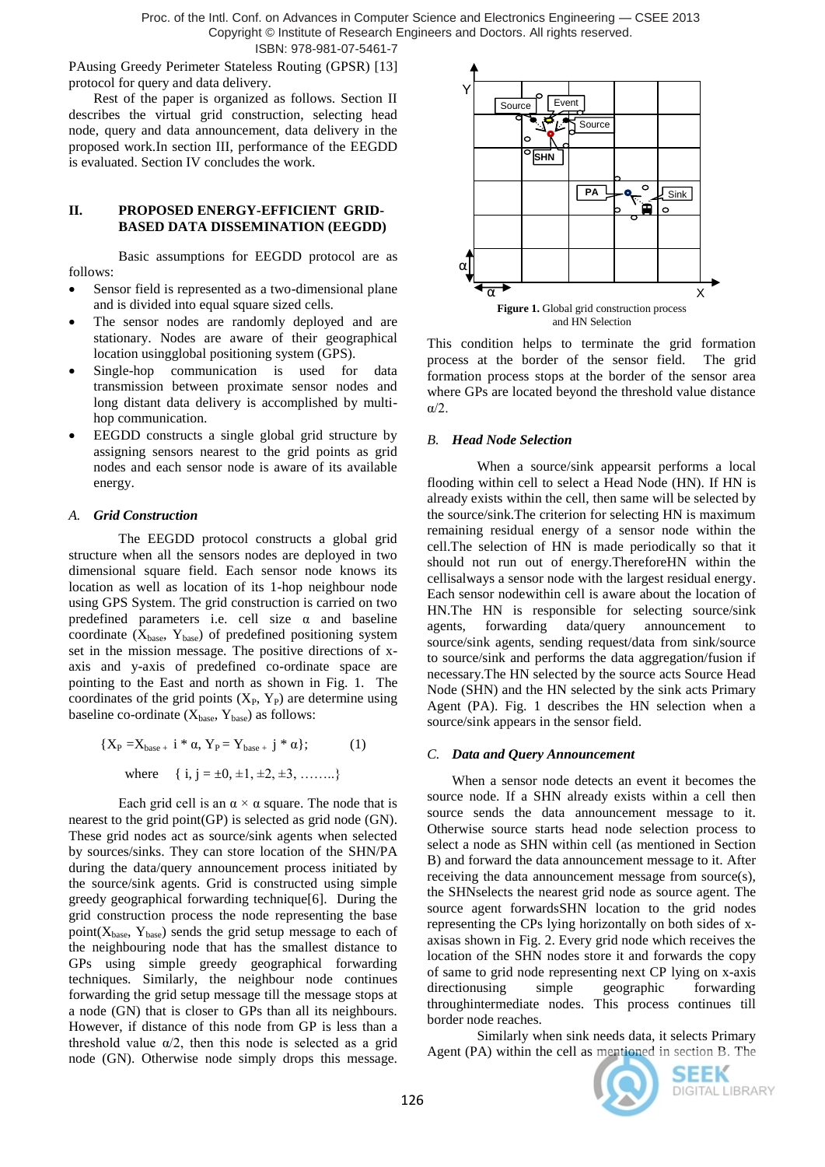Proc. of the Intl. Conf. on Advances in Computer Science and Electronics Engineering — CSEE 2013 Copyright © Institute of Research Engineers and Doctors. All rights reserved.

ISBN: 978-981-07-5461-7

PAusing Greedy Perimeter Stateless Routing (GPSR) [13] protocol for query and data delivery.

Rest of the paper is organized as follows. Section II describes the virtual grid construction, selecting head node, query and data announcement, data delivery in the proposed work.In section III, performance of the EEGDD is evaluated. Section IV concludes the work.

# **II. PROPOSED ENERGY-EFFICIENT GRID-BASED DATA DISSEMINATION (EEGDD)**

Basic assumptions for EEGDD protocol are as follows:

- Sensor field is represented as a two-dimensional plane and is divided into equal square sized cells.
- The sensor nodes are randomly deployed and are stationary. Nodes are aware of their geographical location usingglobal positioning system (GPS).
- Single-hop communication is used for data transmission between proximate sensor nodes and long distant data delivery is accomplished by multihop communication.
- EEGDD constructs a single global grid structure by assigning sensors nearest to the grid points as grid nodes and each sensor node is aware of its available energy.

## *A. Grid Construction*

The EEGDD protocol constructs a global grid structure when all the sensors nodes are deployed in two dimensional square field. Each sensor node knows its location as well as location of its 1-hop neighbour node using GPS System. The grid construction is carried on two predefined parameters i.e. cell size  $\alpha$  and baseline coordinate  $(X_{base}, Y_{base})$  of predefined positioning system set in the mission message. The positive directions of xaxis and y-axis of predefined co-ordinate space are pointing to the East and north as shown in Fig. 1. The coordinates of the grid points  $(X_P, Y_P)$  are determine using baseline co-ordinate  $(X<sub>base</sub>, Y<sub>base</sub>)$  as follows:

$$
\{X_{P} = X_{base +} i * \alpha, Y_{P} = Y_{base +} j * \alpha\};
$$
 (1)  
where { i, j = ±0, ±1, ±2, ±3, .......}

Each grid cell is an  $\alpha \times \alpha$  square. The node that is nearest to the grid point(GP) is selected as grid node (GN). These grid nodes act as source/sink agents when selected by sources/sinks. They can store location of the SHN/PA during the data/query announcement process initiated by the source/sink agents. Grid is constructed using simple greedy geographical forwarding technique[6]. During the grid construction process the node representing the base point $(X_{base}, Y_{base})$  sends the grid setup message to each of the neighbouring node that has the smallest distance to GPs using simple greedy geographical forwarding techniques. Similarly, the neighbour node continues forwarding the grid setup message till the message stops at a node (GN) that is closer to GPs than all its neighbours. However, if distance of this node from GP is less than a threshold value  $\alpha/2$ , then this node is selected as a grid node (GN). Otherwise node simply drops this message.



This condition helps to terminate the grid formation process at the border of the sensor field. The grid formation process stops at the border of the sensor area where GPs are located beyond the threshold value distance α/2.

#### *B. Head Node Selection*

When a source/sink appearsit performs a local flooding within cell to select a Head Node (HN). If HN is already exists within the cell, then same will be selected by the source/sink.The criterion for selecting HN is maximum remaining residual energy of a sensor node within the cell.The selection of HN is made periodically so that it should not run out of energy.ThereforeHN within the cellisalways a sensor node with the largest residual energy. Each sensor nodewithin cell is aware about the location of HN.The HN is responsible for selecting source/sink agents, forwarding data/query announcement to source/sink agents, sending request/data from sink/source to source/sink and performs the data aggregation/fusion if necessary.The HN selected by the source acts Source Head Node (SHN) and the HN selected by the sink acts Primary Agent (PA). Fig. 1 describes the HN selection when a source/sink appears in the sensor field.

#### *C. Data and Query Announcement*

When a sensor node detects an event it becomes the source node. If a SHN already exists within a cell then source sends the data announcement message to it. Otherwise source starts head node selection process to select a node as SHN within cell (as mentioned in Section B) and forward the data announcement message to it. After receiving the data announcement message from source(s), the SHNselects the nearest grid node as source agent. The source agent forwardsSHN location to the grid nodes representing the CPs lying horizontally on both sides of xaxisas shown in Fig. 2. Every grid node which receives the location of the SHN nodes store it and forwards the copy of same to grid node representing next CP lying on x-axis directionusing simple geographic forwarding throughintermediate nodes. This process continues till border node reaches.

Similarly when sink needs data, it selects Primary Agent (PA) within the cell as mentioned in section B. The

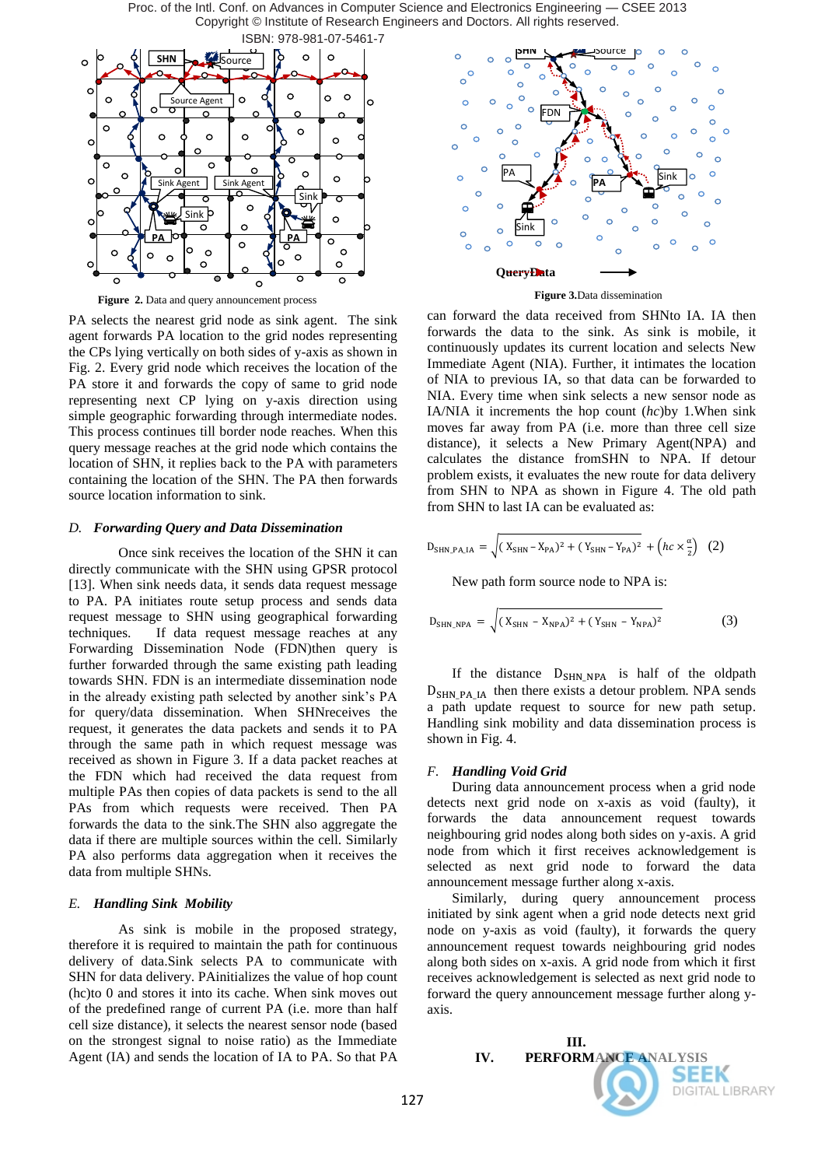Proc. of the Intl. Conf. on Advances in Computer Science and Electronics Engineering — CSEE 2013 Copyright © Institute of Research Engineers and Doctors. All rights reserved. ISBN: 978-981-07-5461-7



**Figure 2.** Data and query announcement process

PA selects the nearest grid node as sink agent. The sink agent forwards PA location to the grid nodes representing the CPs lying vertically on both sides of y-axis as shown in Fig. 2. Every grid node which receives the location of the PA store it and forwards the copy of same to grid node representing next CP lying on y-axis direction using simple geographic forwarding through intermediate nodes. This process continues till border node reaches. When this query message reaches at the grid node which contains the location of SHN, it replies back to the PA with parameters containing the location of the SHN. The PA then forwards source location information to sink.

#### *D. Forwarding Query and Data Dissemination*

Once sink receives the location of the SHN it can directly communicate with the SHN using GPSR protocol [13]. When sink needs data, it sends data request message to PA. PA initiates route setup process and sends data request message to SHN using geographical forwarding techniques. If data request message reaches at any Forwarding Dissemination Node (FDN)then query is further forwarded through the same existing path leading towards SHN. FDN is an intermediate dissemination node in the already existing path selected by another sink's PA for query/data dissemination. When SHNreceives the request, it generates the data packets and sends it to PA through the same path in which request message was received as shown in Figure 3. If a data packet reaches at the FDN which had received the data request from multiple PAs then copies of data packets is send to the all PAs from which requests were received. Then PA forwards the data to the sink.The SHN also aggregate the data if there are multiple sources within the cell. Similarly PA also performs data aggregation when it receives the data from multiple SHNs.

## *E. Handling Sink Mobility*

As sink is mobile in the proposed strategy, therefore it is required to maintain the path for continuous delivery of data.Sink selects PA to communicate with SHN for data delivery. PAinitializes the value of hop count (hc)to 0 and stores it into its cache. When sink moves out of the predefined range of current PA (i.e. more than half cell size distance), it selects the nearest sensor node (based on the strongest signal to noise ratio) as the Immediate Agent (IA) and sends the location of IA to PA. So that PA



**Figure 3.**Data dissemination

can forward the data received from SHNto IA. IA then forwards the data to the sink. As sink is mobile, it continuously updates its current location and selects New Immediate Agent (NIA). Further, it intimates the location of NIA to previous IA, so that data can be forwarded to NIA. Every time when sink selects a new sensor node as IA/NIA it increments the hop count (*hc*)by 1.When sink moves far away from PA (i.e. more than three cell size distance), it selects a New Primary Agent(NPA) and calculates the distance fromSHN to NPA. If detour problem exists, it evaluates the new route for data delivery from SHN to NPA as shown in Figure 4. The old path from SHN to last IA can be evaluated as:

$$
D_{\text{SHN}_\text{PA} \perp \text{A}} = \sqrt{(X_{\text{SHN}} - X_{\text{PA}})^2 + (Y_{\text{SHN}} - Y_{\text{PA}})^2} + \left(hc \times \frac{\alpha}{2}\right) (2)
$$

New path form source node to NPA is:

$$
D_{SHN,NPA} = \sqrt{(X_{SHN} - X_{NPA})^2 + (Y_{SHN} - Y_{NPA})^2}
$$
 (3)

If the distance  $D_{SHN, NPA}$  is half of the oldpath  $D_{SHN,PA,IA}$  then there exists a detour problem. NPA sends a path update request to source for new path setup. Handling sink mobility and data dissemination process is shown in Fig. 4.

#### *F. Handling Void Grid*

During data announcement process when a grid node detects next grid node on x-axis as void (faulty), it forwards the data announcement request towards neighbouring grid nodes along both sides on y-axis. A grid node from which it first receives acknowledgement is selected as next grid node to forward the data announcement message further along x-axis.

Similarly, during query announcement process initiated by sink agent when a grid node detects next grid node on y-axis as void (faulty), it forwards the query announcement request towards neighbouring grid nodes along both sides on x-axis. A grid node from which it first receives acknowledgement is selected as next grid node to forward the query announcement message further along yaxis.

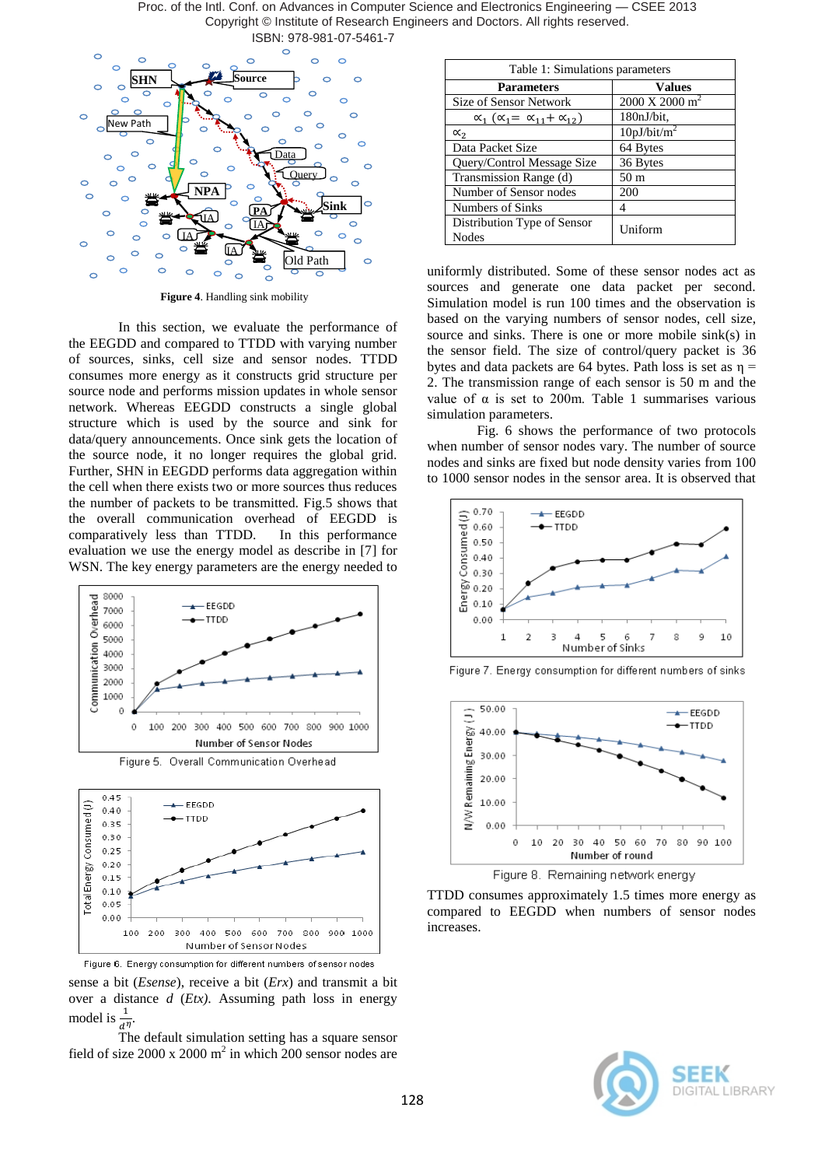Proc. of the Intl. Conf. on Advances in Computer Science and Electronics Engineering — CSEE 2013 Copyright © Institute of Research Engineers and Doctors. All rights reserved. ISBN: 978-981-07-5461-7



**Figure 4**. Handling sink mobility

In this section, we evaluate the performance of the EEGDD and compared to TTDD with varying number of sources, sinks, cell size and sensor nodes. TTDD consumes more energy as it constructs grid structure per source node and performs mission updates in whole sensor network. Whereas EEGDD constructs a single global structure which is used by the source and sink for data/query announcements. Once sink gets the location of the source node, it no longer requires the global grid. Further, SHN in EEGDD performs data aggregation within the cell when there exists two or more sources thus reduces the number of packets to be transmitted. Fig.5 shows that the overall communication overhead of EEGDD is comparatively less than TTDD. In this performance evaluation we use the energy model as describe in [7] for WSN. The key energy parameters are the energy needed to







sense a bit (*Esense*), receive a bit (*Erx*) and transmit a bit over a distance *d* (*Etx)*. Assuming path loss in energy model is  $\frac{1}{d^{\eta}}$ .

The default simulation setting has a square sensor field of size  $2000 \times 2000$  m<sup>2</sup> in which 200 sensor nodes are

| Table 1: Simulations parameters                       |                                    |
|-------------------------------------------------------|------------------------------------|
| <b>Parameters</b>                                     | <b>Values</b>                      |
| <b>Size of Sensor Network</b>                         | $2000 \text{ X } 2000 \text{ m}^2$ |
| $\alpha_1$ ( $\alpha_1 = \alpha_{11} + \alpha_{12}$ ) | 180nJ/bit.                         |
| $\alpha_{2}$                                          | 10pJ/bit/m <sup>2</sup>            |
| Data Packet Size                                      | 64 Bytes                           |
| Query/Control Message Size                            | 36 Bytes                           |
| Transmission Range (d)                                | 50 <sub>m</sub>                    |
| Number of Sensor nodes                                | 200                                |
| Numbers of Sinks                                      | 4                                  |
| Distribution Type of Sensor<br>Nodes                  | Uniform                            |

uniformly distributed. Some of these sensor nodes act as sources and generate one data packet per second. Simulation model is run 100 times and the observation is based on the varying numbers of sensor nodes, cell size, source and sinks. There is one or more mobile sink(s) in the sensor field. The size of control/query packet is 36 bytes and data packets are 64 bytes. Path loss is set as  $\eta$  = 2. The transmission range of each sensor is 50 m and the value of  $\alpha$  is set to 200m. Table 1 summarises various simulation parameters.

Fig. 6 shows the performance of two protocols when number of sensor nodes vary. The number of source nodes and sinks are fixed but node density varies from 100 to 1000 sensor nodes in the sensor area. It is observed that







Figure 8. Remaining network energy

TTDD consumes approximately 1.5 times more energy as compared to EEGDD when numbers of sensor nodes increases.